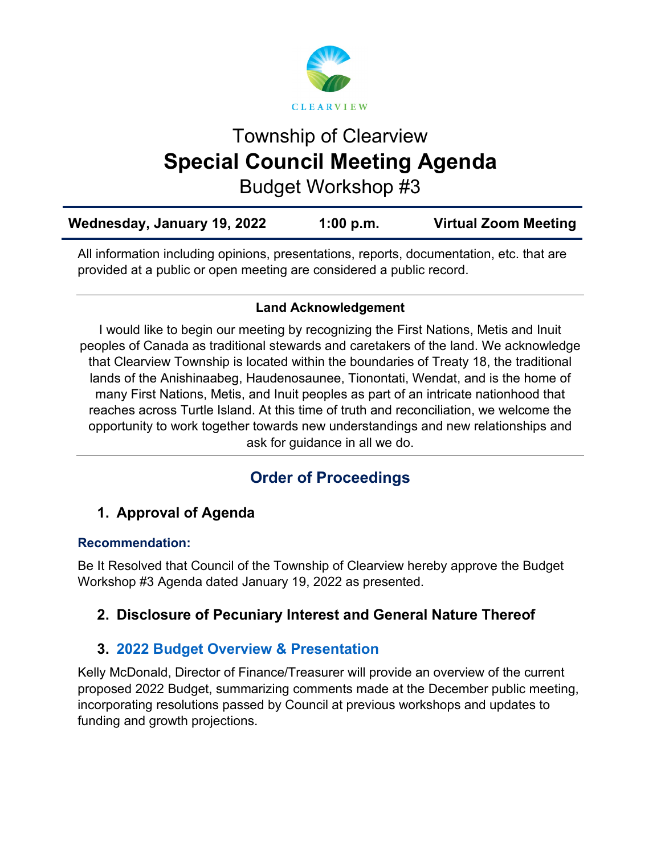

# Township of Clearview **Special Council Meeting Agenda**

Budget Workshop #3

| Wednesday, January 19, 2022 | 1:00 p.m. | <b>Virtual Zoom Meeting</b> |
|-----------------------------|-----------|-----------------------------|
|                             |           |                             |

All information including opinions, presentations, reports, documentation, etc. that are provided at a public or open meeting are considered a public record.

#### **Land Acknowledgement**

I would like to begin our meeting by recognizing the First Nations, Metis and Inuit peoples of Canada as traditional stewards and caretakers of the land. We acknowledge that Clearview Township is located within the boundaries of Treaty 18, the traditional lands of the Anishinaabeg, Haudenosaunee, Tionontati, Wendat, and is the home of many First Nations, Metis, and Inuit peoples as part of an intricate nationhood that reaches across Turtle Island. At this time of truth and reconciliation, we welcome the opportunity to work together towards new understandings and new relationships and ask for guidance in all we do.

## **Order of Proceedings**

## **1. Approval of Agenda**

#### **Recommendation:**

Be It Resolved that Council of the Township of Clearview hereby approve the Budget Workshop #3 Agenda dated January 19, 2022 as presented.

## **2. Disclosure of Pecuniary Interest and General Nature Thereof**

## **3. [2022 Budget Overview](https://www.clearview.ca/sites/default/files/uploads/publications/2022-01-19_budget_presentation.pdf) & Presentation**

Kelly McDonald, Director of Finance/Treasurer will provide an overview of the current proposed 2022 Budget, summarizing comments made at the December public meeting, incorporating resolutions passed by Council at previous workshops and updates to funding and growth projections.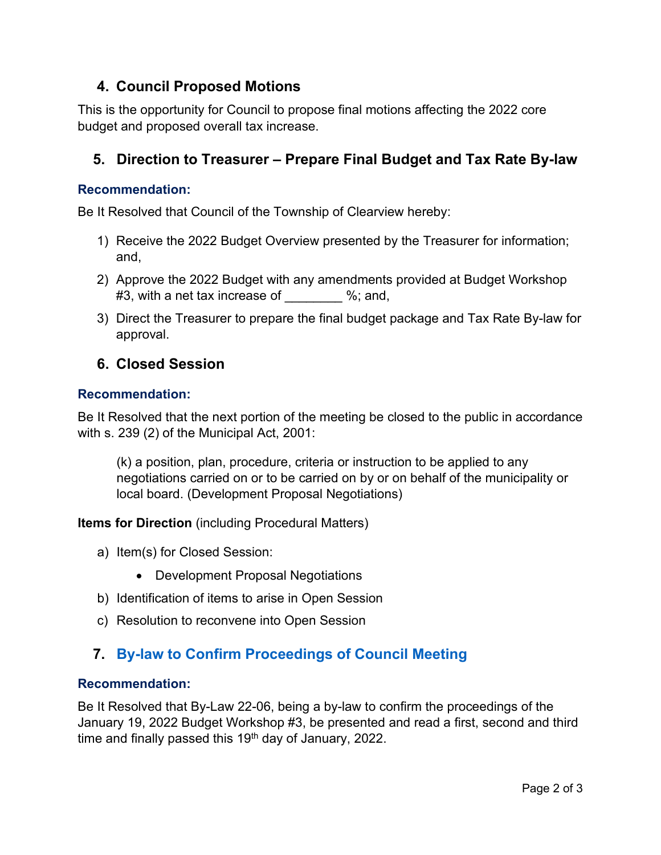## **4. Council Proposed Motions**

This is the opportunity for Council to propose final motions affecting the 2022 core budget and proposed overall tax increase.

## **5. Direction to Treasurer – Prepare Final Budget and Tax Rate By-law**

#### **Recommendation:**

Be It Resolved that Council of the Township of Clearview hereby:

- 1) Receive the 2022 Budget Overview presented by the Treasurer for information; and,
- 2) Approve the 2022 Budget with any amendments provided at Budget Workshop #3, with a net tax increase of \_\_\_\_\_\_\_ %; and,
- 3) Direct the Treasurer to prepare the final budget package and Tax Rate By-law for approval.

#### **6. Closed Session**

#### **Recommendation:**

Be It Resolved that the next portion of the meeting be closed to the public in accordance with s. 239 (2) of the Municipal Act, 2001:

(k) a position, plan, procedure, criteria or instruction to be applied to any negotiations carried on or to be carried on by or on behalf of the municipality or local board. (Development Proposal Negotiations)

**Items for Direction** (including Procedural Matters)

- a) Item(s) for Closed Session:
	- Development Proposal Negotiations
- b) Identification of items to arise in Open Session
- c) Resolution to reconvene into Open Session

## **7. [By-law to Confirm Proceedings of Council Meeting](https://www.clearview.ca/sites/default/files/uploads/publications/22-06_confirm_proceedings_january_19_2022.pdf)**

#### **Recommendation:**

Be It Resolved that By-Law 22-06, being a by-law to confirm the proceedings of the January 19, 2022 Budget Workshop #3, be presented and read a first, second and third time and finally passed this  $19<sup>th</sup>$  day of January, 2022.